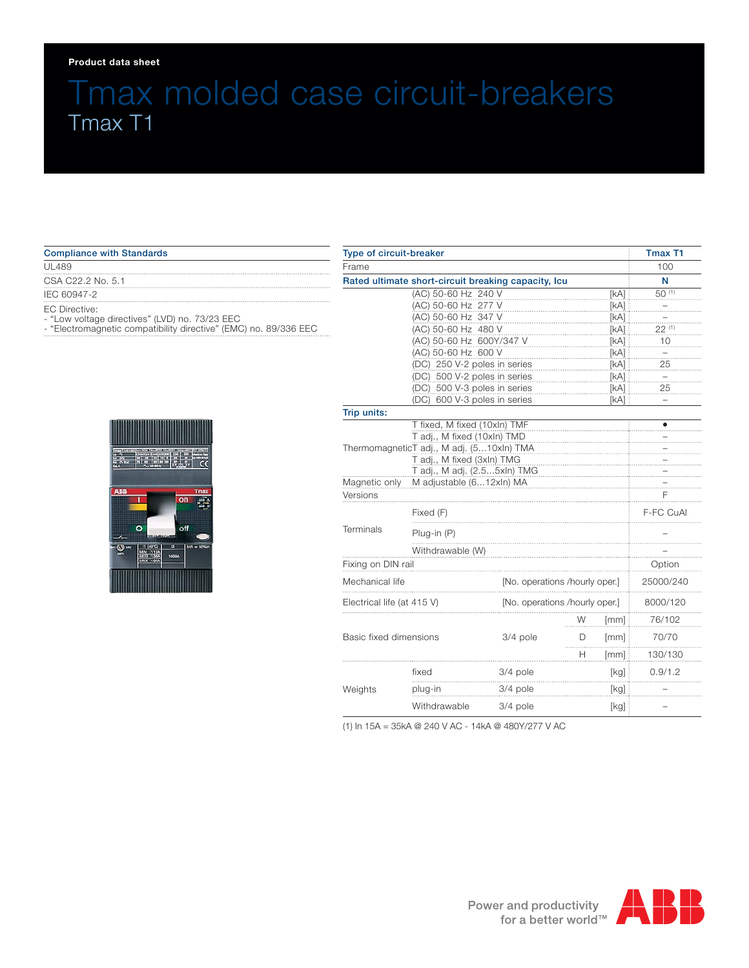#### **Product data sheet**

# Tmax molded case circuit-breakers Tmax T1

### Compliance with Standards

#### UL489

CSA C22.2 No. 5.1

IEC 60947-2

EC Directive:

- "Low voltage directives" (LVD) no. 73/23 EEC

- "Electromagnetic compatibility directive" (EMC) no. 89/336 EEC



| <b>Type of circuit-breaker</b><br>Frame<br>Rated ultimate short-circuit breaking capacity, Icu |          |                                |       | <b>Tmax T1</b> |
|------------------------------------------------------------------------------------------------|----------|--------------------------------|-------|----------------|
|                                                                                                |          |                                |       | 100            |
|                                                                                                |          |                                |       | N              |
| (AC) 50-60 Hz 240 V                                                                            |          |                                | [kA]  | 50 (1)         |
| (AC) 50-60 Hz 277 V                                                                            |          |                                | [KA]  |                |
| (AC) 50-60 Hz 347 V                                                                            |          |                                | [kA]  |                |
| (AC) 50-60 Hz 480 V                                                                            |          |                                | [kA]  | 22 (1)         |
| (AC) 50-60 Hz 600Y/347 V                                                                       |          |                                | [KA]  | 10             |
| (AC) 50-60 Hz 600 V                                                                            |          |                                | [kA]  |                |
| (DC) 250 V-2 poles in series                                                                   |          | [KA]                           | 25    |                |
| (DC) 500 V-2 poles in series                                                                   |          | [kA]                           | $\pm$ |                |
| (DC) 500 V-3 poles in series                                                                   |          | [kA]                           | 25    |                |
| (DC) 600 V-3 poles in series                                                                   |          |                                | [kA]  |                |
| Trip units:                                                                                    |          |                                |       |                |
| T fixed, M fixed (10xln) TMF                                                                   |          |                                |       |                |
| T adj., M fixed (10xln) TMD                                                                    |          |                                |       |                |
| ThermomagneticT adj., M adj. (510xln) TMA<br>T adj., M fixed (3xln) TMG                        |          |                                |       |                |
|                                                                                                |          |                                |       |                |
| T adj., M adj. (2.55xln) TMG<br>Magnetic only<br>M adjustable (612xln) MA                      |          |                                |       |                |
| Versions                                                                                       |          |                                |       | F              |
| Fixed (F)                                                                                      |          |                                |       | F-FC CuAI      |
| Terminals<br>Plug-in (P)                                                                       |          |                                |       |                |
| Withdrawable (W)                                                                               |          |                                |       |                |
| Fixing on DIN rail                                                                             |          |                                |       | Option         |
| Mechanical life                                                                                |          | [No. operations /hourly oper.] |       | 25000/240      |
| Electrical life (at 415 V)                                                                     |          | [No. operations /hourly oper.] |       |                |
|                                                                                                |          | W                              | [mm]  | 76/102         |
| Basic fixed dimensions                                                                         | 3/4 pole | D                              | [mm]  | 70/70          |
|                                                                                                |          | H                              | [mm]  | 130/130        |
| fixed                                                                                          | 3/4 pole |                                | [kg]  | 0.9/1.2        |
| Weights<br>plug-in                                                                             | 3/4 pole |                                | [kg]  |                |
| Withdrawable                                                                                   | 3/4 pole |                                | [kg]  |                |

(1) In 15A = 35kA @ 240 V AC - 14kA @ 480Y/277 V AC

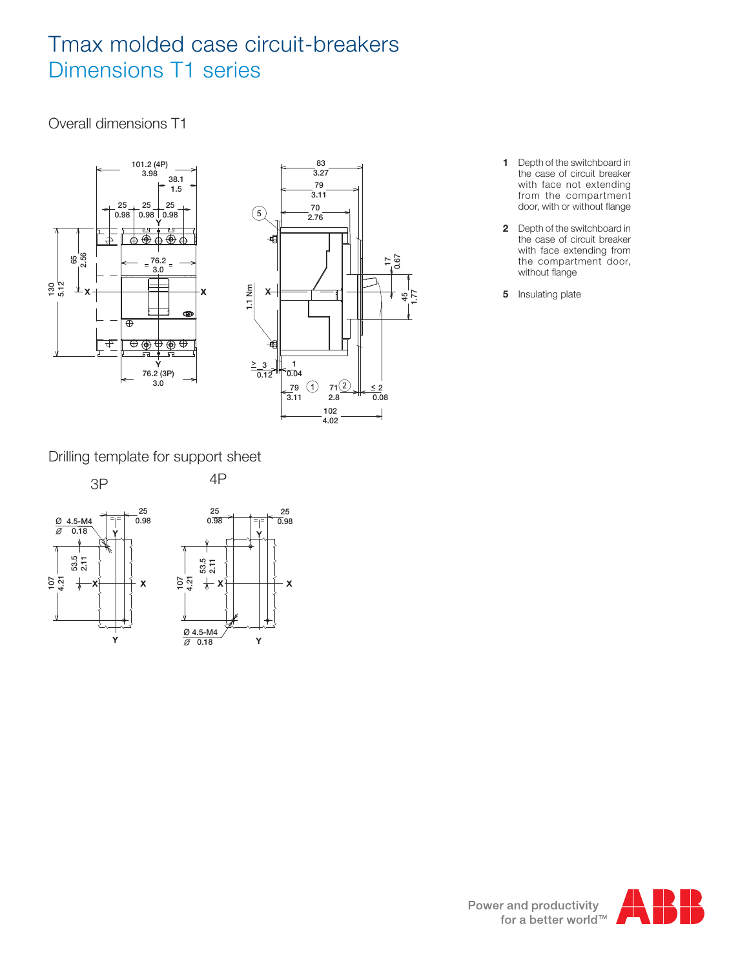# Tmax molded case circuit-breakers Dimensions T1 series

Overall dimensions T1





- **1** Depth of the switchboard in the case of circuit breaker with face not extending from the compartment door, with or without flange
- **2** Depth of the switchboard in the case of circuit breaker with face extending from the compartment door, without flange
- **5** Insulating plate

Drilling template for support sheet